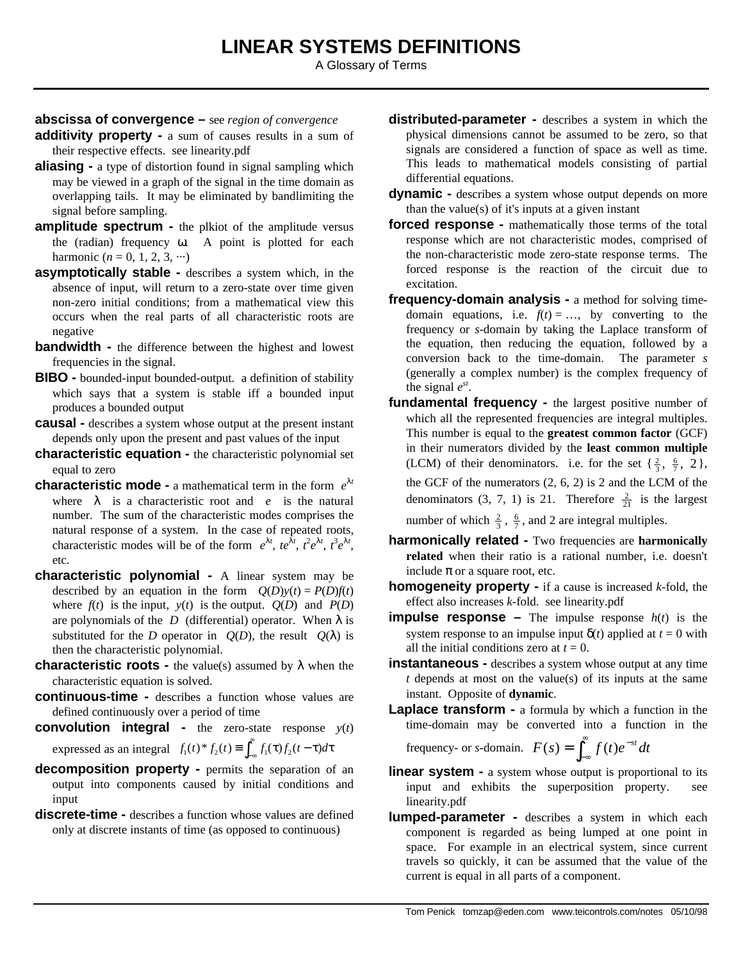A Glossary of Terms

## **abscissa of convergence –** see *region of convergence*

- **additivity property -** a sum of causes results in a sum of their respective effects. see linearity.pdf
- **aliasing -** a type of distortion found in signal sampling which may be viewed in a graph of the signal in the time domain as overlapping tails. It may be eliminated by bandlimiting the signal before sampling.
- **amplitude spectrum -** the plkiot of the amplitude versus the (radian) frequency ω. A point is plotted for each harmonic  $(n = 0, 1, 2, 3, ...)$
- **asymptotically stable -** describes a system which, in the absence of input, will return to a zero-state over time given non-zero initial conditions; from a mathematical view this occurs when the real parts of all characteristic roots are negative
- **bandwidth -** the difference between the highest and lowest frequencies in the signal.
- **BIBO -** bounded-input bounded-output. a definition of stability which says that a system is stable iff a bounded input produces a bounded output
- **causal -** describes a system whose output at the present instant depends only upon the present and past values of the input
- **characteristic equation -** the characteristic polynomial set equal to zero
- **characteristic mode -** a mathematical term in the form *e* λ*t* where  $\lambda$  is a characteristic root and *e* is the natural number. The sum of the characteristic modes comprises the natural response of a system. In the case of repeated roots, characteristic modes will be of the form  $e^{\lambda t}$ ,  $te^{\lambda t}$ ,  $t^2e^{\lambda t}$ ,  $t^3e^{\lambda t}$ , etc.
- **characteristic polynomial -** A linear system may be described by an equation in the form  $Q(D)y(t) = P(D)f(t)$ where  $f(t)$  is the input,  $y(t)$  is the output.  $Q(D)$  and  $P(D)$ are polynomials of the *D* (differential) operator. When  $\lambda$  is substituted for the *D* operator in  $Q(D)$ , the result  $Q(\lambda)$  is then the characteristic polynomial.
- **characteristic roots -** the value(s) assumed by λ when the characteristic equation is solved.
- **continuous-time -** describes a function whose values are defined continuously over a period of time
- **convolution integral -** the zero-state response *y*(*t*) expressed as an integral  $f_1(t)^* f_2(t) \equiv \int_{-\infty}^{\infty} f_1(\tau) f_2(t-\tau) dt$  $\int_{-\infty}^{\infty} f_1(\tau) f_2(t-\tau) d\tau$
- **decomposition property -** permits the separation of an output into components caused by initial conditions and input
- **discrete-time -** describes a function whose values are defined only at discrete instants of time (as opposed to continuous)
- **distributed-parameter -** describes a system in which the physical dimensions cannot be assumed to be zero, so that signals are considered a function of space as well as time. This leads to mathematical models consisting of partial differential equations.
- **dynamic -** describes a system whose output depends on more than the value(s) of it's inputs at a given instant
- **forced response -** mathematically those terms of the total response which are not characteristic modes, comprised of the non-characteristic mode zero-state response terms. The forced response is the reaction of the circuit due to excitation.
- **frequency-domain analysis -** a method for solving timedomain equations, i.e.  $f(t) = ...$ , by converting to the frequency or *s*-domain by taking the Laplace transform of the equation, then reducing the equation, followed by a conversion back to the time-domain. The parameter *s* (generally a complex number) is the complex frequency of the signal  $e^{st}$ .
- **fundamental frequency -** the largest positive number of which all the represented frequencies are integral multiples. This number is equal to the **greatest common factor** (GCF) in their numerators divided by the **least common multiple** (LCM) of their denominators. i.e. for the set  $\{\frac{2}{3}, \frac{6}{7}, 2\}$ , the GCF of the numerators (2, 6, 2) is 2 and the LCM of the denominators (3, 7, 1) is 21. Therefore  $\frac{2}{21}$  is the largest number of which  $\frac{2}{3}$ ,  $\frac{6}{7}$ , and 2 are integral multiples.
- **harmonically related -** Two frequencies are **harmonically related** when their ratio is a rational number, i.e. doesn't include  $\pi$  or a square root, etc.
- **homogeneity property -** if a cause is increased *k*-fold, the effect also increases *k*-fold. see linearity.pdf
- **impulse response** The impulse response  $h(t)$  is the system response to an impulse input  $\delta(t)$  applied at  $t = 0$  with all the initial conditions zero at  $t = 0$ .
- **instantaneous -** describes a system whose output at any time *t* depends at most on the value(s) of its inputs at the same instant. Opposite of **dynamic**.
- **Laplace transform -** a formula by which a function in the time-domain may be converted into a function in the

frequency- or s-domain. 
$$
F(s) = \int_{-\infty}^{\infty} f(t)e^{-st} dt
$$

- **linear system -** a system whose output is proportional to its input and exhibits the superposition property. see linearity.pdf
- **lumped-parameter -** describes a system in which each component is regarded as being lumped at one point in space. For example in an electrical system, since current travels so quickly, it can be assumed that the value of the current is equal in all parts of a component.